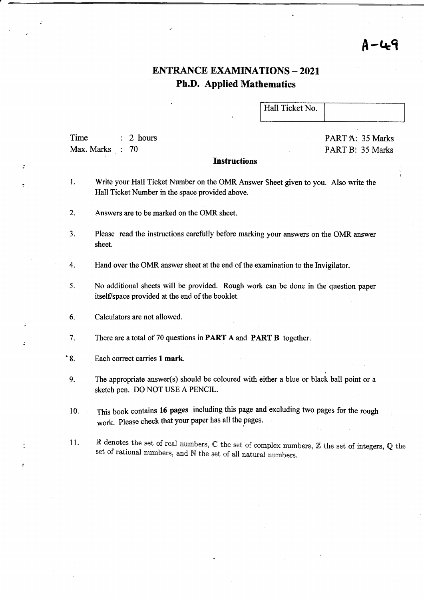## <sup>A</sup>-Qq

### ENTRANCE EXAMINATIONS - 2O2I Ph.D. Applied Mathematics

Hall Ticket No.

Time : 2 hours Max. Marks : 70

PART A: 35 Marks PART B: 35 Marks

#### **Instructions**

- l. Write your Hall Ticket Number on the OMR Answer Sheet given to you. Also write the Hall Ticket Number in the space provided above.
- 2. Answers are to be marked on the OMR sheet.
- 3. Please read the instructions carefully before marking your answers on the OMR answer sheet.
- 4. Hand over the OMR answer sheet at the end of the examination to the Invigilator.
- 5. No additional sheets will be provided. Rough work can be done in the question paper itself/space provided at the end of the booklet.
- 6. Calculators are not allowed.
- <sup>7</sup>. There are a total of 70 questions in PART A and PART B together.
- '8. Each correct carries 1 mark.
- 9. The appropriate answer(s) should be coloured with either a blue or black ball point or a sketch pen. DO NOT USE A PENCIL.
- 10. This book contains 16 pages including this page and excluding two pages for the rough work. Please check that your paper has all the pages.
- 11. R denotes the set of real numbers,  $\mathbb C$  the set of complex numbers,  $\mathbb Z$  the set of integers,  $\mathbb Q$  the set of rational numbers, and  $\mathbb N$  the set of all natural numbers.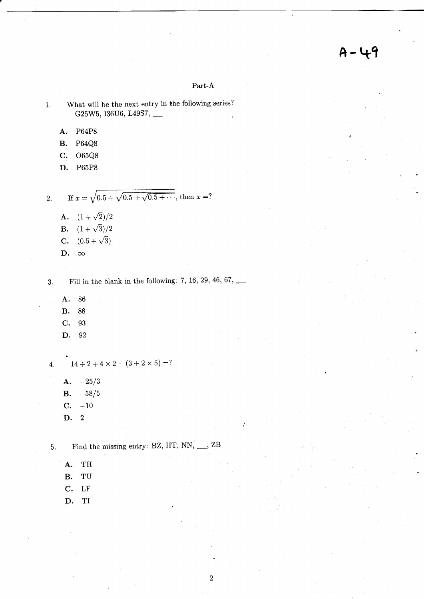## $A - 49$

Part-A

- What will be the next entry in the following series?  $\mathbf{1}$ . G25W5, I36U6, L49S7, \_\_
	- A. P64P8
	- **B.**  $P64Q8$
	- C. 065Q8
	- D. P65P8

If  $x = \sqrt{0.5 + \sqrt{0.5 + \sqrt{0.5 + \cdots}}},$  then  $x = ?$  $\overline{2}$ .

**A.**  $(1+\sqrt{2})/2$ **B.**  $(1+\sqrt{3})/2$ **C.**  $(0.5 + \sqrt{3})$ D.  $\infty$ 

Fill in the blank in the following: 7, 16, 29, 46, 67,  $\_\_$  $3.1$ 

- A. 86
- 88  $\mathbf{B}$ .
- C. 93
- D. 92

 $14 \div 2 + 4 \times 2 - (3 + 2 \times 5) = ?$  $\overline{4}$ .

- A.  $-25/3$ **B.**  $-58/5$
- $C. -10$
- $\overline{2}$ D.

Find the missing entry: BZ, HT, NN, \_\_, ZB 5.

- A. TH
- TU  $\mathbf B.$
- LF  $\mathbf{C}$ .
- $T1$ D.

 $\mathbf 2$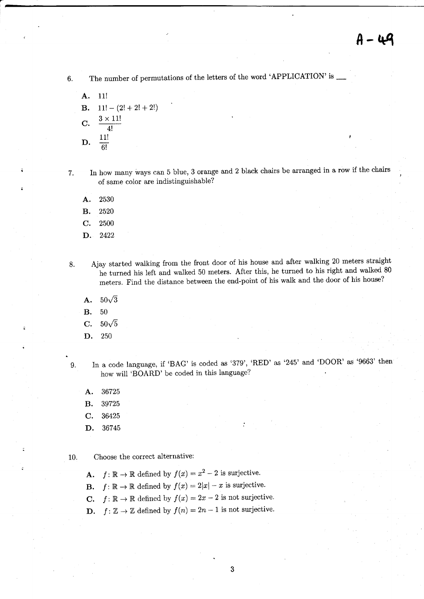6. The number of permutations of the letters of the word 'APPLICATION' is -

A. 11! **B.**  $11! - (2! + 2! + 2!)$ C.  $\frac{3 \times 11!}{4}$  $\overline{4!}$  $\mathbf{D}$ .  $\frac{11!}{1!}$  $\overline{6!}$ 

7. In how many ways can 5 blue, 3 orange and 2 black chairs be arranged in a row if the chairs of same color are indistinguishable?

- A. <sup>2530</sup>
- B. <sup>2520</sup>
- c. <sup>2500</sup>
- D. <sup>2422</sup>

8. Ajay started walking from the front door of his house and after walking 20 meters straight he turned his left and walked 50 meters. After this, he turned to his right and walked 80 meters. Find the distance between the end-point of his walk and the door of his house?

- **A.**  $50\sqrt{3}$
- B. <sup>50</sup>
- **C.**  $50\sqrt{5}$
- D. 250

9. In a code language, if 'BAG' is coded as '379', 'RED' as '245' and 'DOOR' as '9663' then how will 'BOARD' be coded in this language?

- A. <sup>36725</sup>
- B. <sup>39725</sup>
- c. <sup>36425</sup>
- D. <sup>36745</sup>

10. Choose the correct alternative:

- **A.**  $f: \mathbb{R} \to \mathbb{R}$  defined by  $f(x) = x^2 2$  is surjective.
- **B.**  $f: \mathbb{R} \to \mathbb{R}$  defined by  $f(x) = 2|x| x$  is surjective.
- **C.**  $f: \mathbb{R} \to \mathbb{R}$  defined by  $f(x) = 2x-2$  is not surjective.
- **D.**  $f: \mathbb{Z} \to \mathbb{Z}$  defined by  $f(n) = 2n 1$  is not surjective.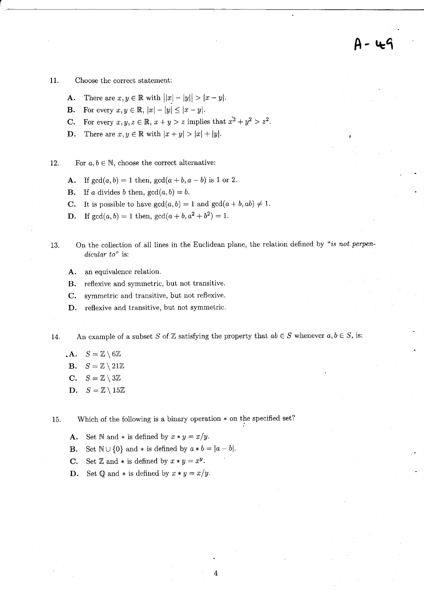11. Choose the correct statement:

- **A.** There are  $x, y \in \mathbb{R}$  with  $||x| |y|| > |x y|$ .
- **B.** For every  $x, y \in \mathbb{R}$ ,  $|x| |y| \leq |x y|$ .
- C. For every  $x, y, z \in \mathbb{R}$ ,  $x + y > z$  implies that  $x^2 + y^2 > z^2$ .
- **D.** There are  $x, y \in \mathbb{R}$  with  $|x + y| > |x| + |y|$ .

12. For  $a, b \in \mathbb{N}$ , choose the correct alternative:

- A. If  $gcd(a, b) = 1$  then,  $gcd(a + b, a b)$  is 1 or 2.
- **B.** If a divides b then,  $gcd(a, b) = b$ .
- **C.** It is possible to have  $gcd(a, b) = 1$  and  $gcd(a + b, ab) \neq 1$ .
- **D.** If  $gcd(a, b) = 1$  then,  $gcd(a + b, a^2 + b^2) = 1$ .
- 13. On the collection of all lines in the Euclidean plane, the relation defined by "is not perpendicular to" is:
	- A. an equivalence relation.
	- B. reflexive and symmetric, but not transitive.
	- C. symmetric and transitive, but not reflexive.
	- D. reflexive and transitive, but not symmetric.

14. An example of a subset S of Z satisfying the property that  $ab \in S$  whenever  $a, b \in S$ , is:

- $\mathbf{A}. \quad S=\mathbb{Z}\setminus6\mathbb{Z}$
- **B.**  $S=\mathbb{Z}\setminus 21\mathbb{Z}$
- C.  $S=\mathbb{Z}\setminus3\mathbb{Z}$
- D.  $S = \mathbb{Z} \setminus 15\mathbb{Z}$

15. Which of the following is a binary operation  $*$  on the specified set?

- **A.** Set N and  $*$  is defined by  $x * y = x/y$ .
- **B.** Set  $\mathbb{N} \cup \{0\}$  and  $*$  is defined by  $a * b = |a-b|$ .
- **C.** Set Z and  $*$  is defined by  $x * y = x^y$ .
- **D.** Set Q and  $*$  is defined by  $x * y = x/y$ .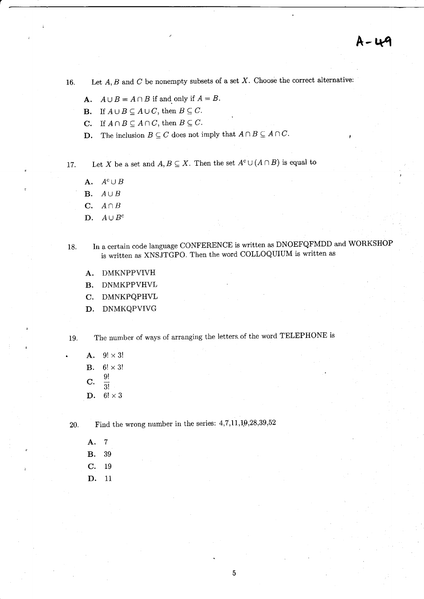$A - U$ 9

16. Let  $A, B$  and  $C$  be nonempty subsets of a set  $X$ . Choose the correct alternative:

- **A.**  $A \cup B = A \cap B$  if and only if  $A = B$ .
- **B.** If  $A \cup B \subseteq A \cup C$ , then  $B \subseteq C$ .
- **C.** If  $A \cap B \subseteq A \cap C$ , then  $B \subseteq C$ .
- **D.** The inclusion  $B \subseteq C$  does not imply that  $A \cap B \subseteq A \cap C$ .

17. Let X be a set and  $A, B \subseteq X$ . Then the set  $A^c \cup (A \cap B)$  is equal to

- A.  $A^c \cup B$
- **B.**  $A \cup B$
- C.  $A \cap B$
- D.  $A \cup B^c$
- 18. In a certain code language CONFERENCE is written as DNOEFQFMDD and WORKSHOP is written as XNSJTGPO. Then the word coLLoQUIUM is written as
	- A. DMKNPPVIVH
	- B. DNMKPPVHVL
	- C. DMNKPQPHVL
	- D. DNMKQPVIVG

The number of ways of arranging the ietters. of the word TELEPHONE is 19.

A.  $9! \times 3!$ B.  $6! \times 3!$  $C. \frac{9!}{2!}$ 3! D.  $6! \times 3$ 

20. Find the wrong number in the series:  $4,7,11,19,28,39,52$ 

A. 7 B. <sup>39</sup> c. <sup>19</sup> D. <sup>11</sup>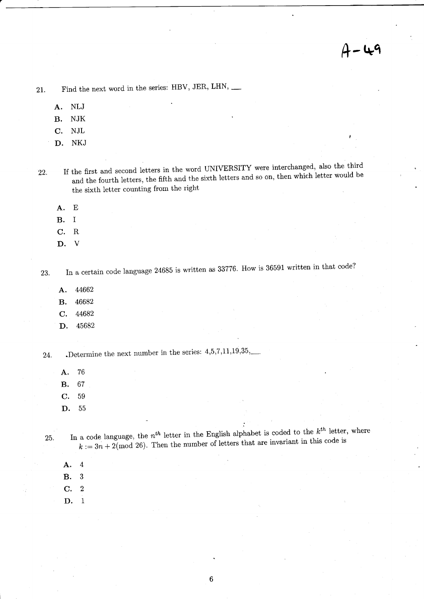## $A - 49$

21. Find the next word in the series: HBV, JER, LHN'

A. NLJ

B. NJK

C. NJL

D. NKJ

22. If the first and second letters in the word UNIVERSITY were interchanged, also the third and the fourth letters, the fifth and the sixth letters and so on, then which letter would be the sixth letter counting from the right

A. E

B. I

C. R

D. V

In a certain code language 24685 is written as 33776. How is 36591 written in that code? 23.

- A. <sup>44662</sup>
- B. <sup>46682</sup>
- c. <sup>44682</sup>
- D. <sup>45682</sup>

.Determine the next number in the series:  $4,5,7,11,19,35,$ 24.

- A. <sup>76</sup>
- B. <sup>67</sup>
- c. <sup>59</sup>
- D. <sup>55</sup>

- 25. In a code language, the  $n^{th}$  letter in the English alphabet is coded to the  $k^{th}$  letter, where  $k := 3n + 2 \pmod{26}$ . Then the number of letters that are invariant in this code is
	- A. 4

8.3

C. 2

D. <sup>1</sup>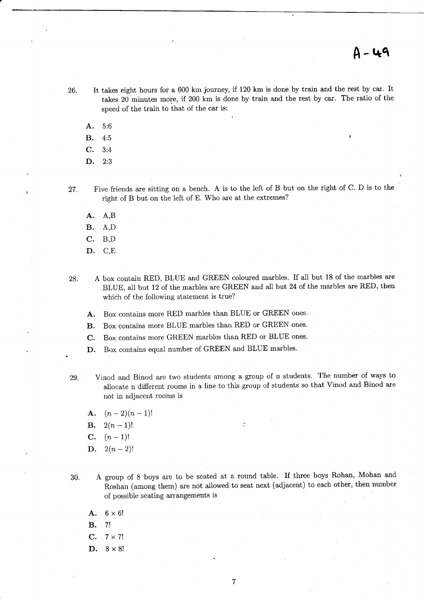- 26. It takes eight hours for a 600 km journey, if 120 km is done by train and the rest by car. It takes 20 minutes more, if 200 km is done by train and the rest by car. The ratio of the speed of the train to that of the car is:
	- A. 5:6
	- **B.**  $4:5$
	- C. 3:4
	- D. 2:3

27. Five friends are sitting on a bench. A is to the left of B but on the right of C. D is to the right of B but on the left of E. Who are at the extremes?

- A. A,B
- B. A,D
- C. B,D
- D. C,E
- 28. A box contain RED, BLUE and GREEN coloured marbles. If all but 18 of the marbles are BLUE, all but 12 of the marbles are GREEN and all but 24 of the marbles are RED, then which of the following statement is true?
	- A. Box contains more RED marbies than BLUE or GREEN ones.
	- B. Box contains more BLUE marbles than RED or GREEN ones.
	- C. Box contains more GREEN marbles than RED or BLUE ones.
	- D. Box contains equal number of GREEN and BLUE marbles.
- 29. Vinod and Binod are two students among a group of n students. The number of ways to allocate n different rooms in a line to this group of students so that Vinod and Binod are not in adjacent rooms is
	- A.  $(n-2)(n-1)!$
	- **B.**  $2(n-1)!$
	- $C.$   $(n-1)!$
	- **D.**  $2(n-2)!$
- 30. A group of B boys are to be seated at a round table. If three boys Rohan, Mohan and Roshan (among them) are not allowed to seat next (adjacent) to each other, then number of possible seating arrangements is
	- A.  $6 \times 6!$
	- B. 7l
	- C.  $7 \times 7!$
	- D.  $8 \times 8!$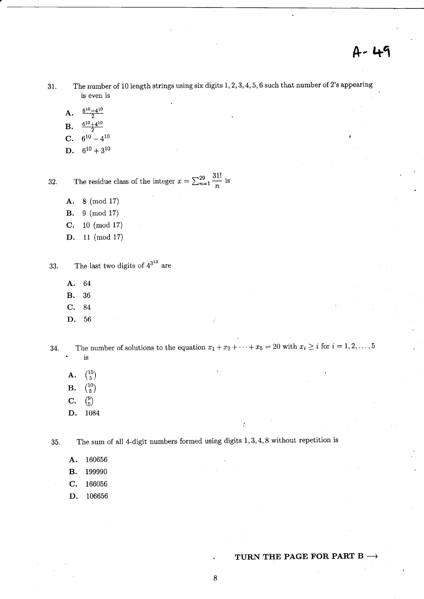The number of 10 length strings using six digits  $1, 2, 3, 4, 5, 6$  such that number of 2's appearing 31. is even is

- $\frac{6^{10}-4^{10}}{2}$ A.
- $6^{10}+4^{10}$  $B.$
- $6^{10} 4^{10}$  $\mathbf{C}$ .
- $6^{10} + 3^{10}$ D.

The residue class of the integer  $x = \sum_{n=1}^{29} \frac{31!}{n}$  is 32.

- 8 (mod 17) A.
- $9 \pmod{17}$ **B.**
- $10 \pmod{17}$ C.
- D. 11 (mod 17)

The last two digits of  $4^{3^{13}}$  are 33.

- A. 64
- 36 **B.**
- C. 84
- D. 56

The number of solutions to the equation  $x_1 + x_2 + \cdots + x_5 = 20$  with  $x_i \ge i$  for  $i = 1, 2, \ldots, 5$ 34.  $\operatorname{is}$ 

- ${15 \choose 5}$ A.
- $\binom{10}{5}$  $B.$
- $\binom{9}{5}$  $\mathbf{C}$ .
- D. 1084

35.

The sum of all 4-digit numbers formed using digits  $1, 3, 4, 8$  without repetition is

160656 A.

199990 **B.** 

- $\mathbf{C}$ . 166056
- D. 106656

#### TURN THE PAGE FOR PART B  $\rightarrow$

8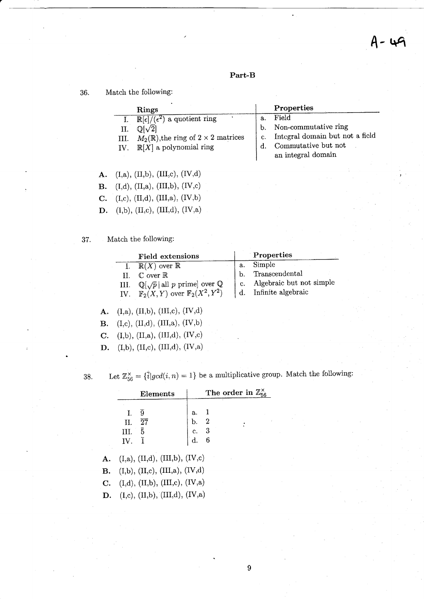#### Part-B

36. Match the following:

|                  | Rings                                                                                                                                                                       |                                  | Properties                                                                                                    |
|------------------|-----------------------------------------------------------------------------------------------------------------------------------------------------------------------------|----------------------------------|---------------------------------------------------------------------------------------------------------------|
| II.<br>Ш.<br>IV. | $\mathbb{R}[\epsilon]/(\epsilon^2)$ a quotient ring<br>$\mathbb{Q}[\sqrt{2}]$<br>$M_2(\mathbb{R})$ , the ring of $2 \times 2$ matrices<br>$\mathbb{R}[X]$ a polynomial ring | a.<br>b.<br>C <sub>1</sub><br>d. | Field<br>Non-commutative ring<br>Integral domain but not a field<br>Commutative but not<br>an integral domain |
|                  | (I,a), (II,b), (III,c), (IV,d)                                                                                                                                              |                                  |                                                                                                               |

- **B.** (I,d), (II,a), (III,b), (IV,c)
- $\mathbf{C.}$  (I,c), (II,d), (III,a), (IV,b)
- **D.** (I,b), (II,c), (III,d), (IV,a)
- 37. Match the following:

|    | Field extensions                                                                                                                        | Properties                                                    |
|----|-----------------------------------------------------------------------------------------------------------------------------------------|---------------------------------------------------------------|
|    | $\mathbb{R}(X)$ over $\mathbb{R}$                                                                                                       |                                                               |
| H. | $\mathbb C$ over $\mathbb R$                                                                                                            |                                                               |
|    |                                                                                                                                         | a. Simple<br>b. Transcendental<br>c. Algebraic but not simple |
|    | III. $\mathbb{Q}[\sqrt{p}   \text{ all } p \text{ prime} ]$ over $\mathbb{Q}$<br>IV. $\mathbb{F}_2(X, Y)$ over $\mathbb{F}_2(X^2, Y^2)$ | d. Infinite algebraic                                         |
|    |                                                                                                                                         |                                                               |

- **A.** (I,a), (II,b), (III,c), (IV,d)
- $\mathbf{B.} \quad \text{(I,c)}, \text{ (II,d)}, \text{ (III,a)}, \text{ (IV,b)}$
- C. (I,b), (II,a), (III,d), (IV,c)
- $\mathbf{D.} \quad \text{(I,b)}, \text{(II,c)}, \text{(III,d)}, \text{(IV,a)}$

 $38. \,$ 

Let  $\mathbb{Z}_{56}^{\times} = {\overline{i}} | gcd(i, n) = 1$  be a multiplicative group. Match the following:

|    | Elements                                                             |                                                                  | The order in $\mathbb{Z}_{56}^{\times}$ |  |  |  |
|----|----------------------------------------------------------------------|------------------------------------------------------------------|-----------------------------------------|--|--|--|
|    | 9<br>I.<br>$\overline{27}$<br>II.<br>$III. \quad 5$<br>IV. $\bar{1}$ | a.<br>$\begin{bmatrix} b. & 2 \\ c. & 3 \\ d. & 6 \end{bmatrix}$ |                                         |  |  |  |
| A. | (I, a), (II, d), (III, b), (IV, c)                                   |                                                                  |                                         |  |  |  |
|    | <b>B.</b> (I,b), (II,c), (III,a), (IV,d)                             |                                                                  |                                         |  |  |  |
|    | C. $(I,d), (II,b), (III,c), (IV,a)$                                  |                                                                  |                                         |  |  |  |
| D. | (I, c), (II, b), (III, d), (IV, a)                                   |                                                                  |                                         |  |  |  |

A.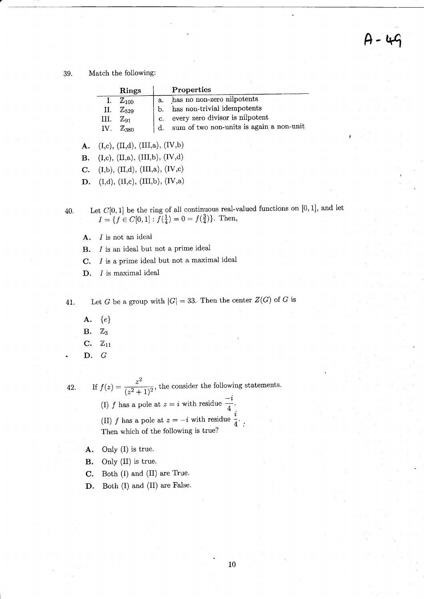$A - 4G$ 

#### 39. Match the following:

|     | Rings              |    | Properties                               |
|-----|--------------------|----|------------------------------------------|
|     | $\mathbb{Z}_{100}$ | а. | has no non-zero nilpotents               |
| 11. | $\mathbb{Z}_{529}$ | b. | has non-trivial idempotents              |
| Ш.  | $\mathbb{Z}_{91}$  | C. | every zero divisor is nilpotent          |
| IV. | $\mathbb{Z}_{380}$ | d. | sum of two non-units is again a non-unit |

A.  $(I,c)$ ,  $(II,d)$ ,  $(III,a)$ ,  $(IV,b)$ 

**B.** (I,c), (II,a), (III,b), (IV,d)

C. (I,b), (II,d), (III,a), (IV,c)

**D.** (I,d), (II,c), (III,b), (IV,a)

- Let  $C[0, 1]$  be the ring of all continuous real-valued functions on  $[0, 1]$ , and let  $I = \{f \in C[0,1]: f(\frac{1}{4}) = 0 = f(\frac{3}{4})\}.$  Then, 40.
	- $A.$  *I* is not an ideal
	- $B.$  I is an ideal but not a prime ideal
	- $C.$  I is a prime ideal but not a maximal ideal
	- $D.$  I is maximal ideal

41.

Let G be a group with  $|G| = 33$ . Then the center  $Z(G)$  of G is

- $\mathbf{A.} \quad \{e\}$
- $B. \quad Z_3$
- C.  $\mathbb{Z}_{11}$
- D.G

42.

- If  $f(z) = \frac{z^2}{(z^2+1)^2}$ , the consider the following statements. (I) f has a pole at  $z=i$  with residue  $\frac{-i}{4}$ . (II) f has a pole at  $z=-i$  with residue  $\frac{i}{4}$ . Then which of the following is true?
	- A. Only (I) is true.
	- B. Only (II) is true.
	- $C.$  Both  $(I)$  and  $(II)$  are True.
	- D. Both (I) and (II) are False.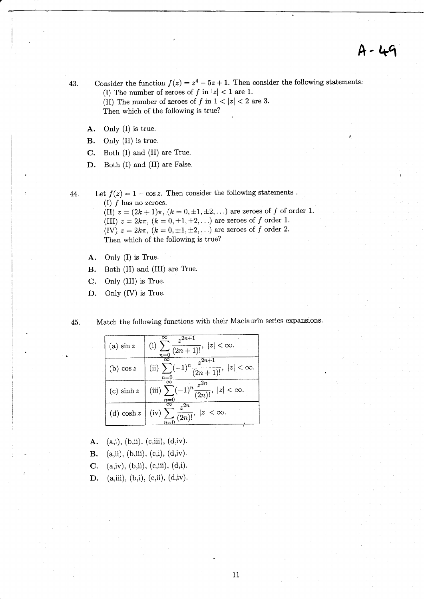$A - 49$ 

- 43. Consider the function  $f(z) = z^4 5z + 1$ . Then consider the following statements. (I) The number of zeroes of f in  $|z|$  < 1 are 1. (II) The number of zeroes of  $f$  in  $1 < |z| < 2$  are 3. Then which of the following is true?
	- A. Only (I) is true.
	- B. Only (II) is true.
	- $C.$  Both  $(I)$  and  $(II)$  are True.
	- D. Both (I) and (II) are False.

44. Let  $f(z) = 1 - \cos z$ . Then consider the following statements. (I)  $f$  has no zeroes.

(II)  $z = (2k + 1)\pi$ ,  $(k = 0, \pm 1, \pm 2,...)$  are zeroes of f of order 1. (III)  $z = 2k\pi$ ,  $(k = 0, \pm 1, \pm 2,...)$  are zeroes of f order 1. (IV)  $z = 2k\pi$ ,  $(k = 0, \pm 1, \pm 2, ...)$  are zeroes of f order 2.<br>Then which of the following is true? Then which of the following is true?

- $A.$  Only  $(I)$  is True.
- **B.** Both (II) and (III) are True.
- $C.$  Only (III) is True.
- $\mathbf{D}$ . Only (IV) is True.
- 4b. Match the foilowing functions with their Maclaurin series expansions.

| (a) $\sin z$  | $\frac{z^{2n+1}}{z}$<br>(i) $\sum_{n=0}^{\infty} \frac{z}{(2n+1)!}$ , $ z  < \infty$ .                     |
|---------------|------------------------------------------------------------------------------------------------------------|
| $(b)$ cos z   | $\sum_{n=0}^{\infty}(-1)^n\frac{z^{2n+1}}{(2n+1)!},\  z <\infty.$<br>$^{\infty}$<br>(ii) $\sum$<br>$n = 0$ |
| (c) $\sinh z$ | (iii) $\sum_{n=0}^{\infty} (-1)^n \frac{z^{2n}}{(2n)!}$ , $ z  < \infty$ .                                 |
| (d) $\cosh z$ | (iv) $\sum_{n=0}^{\infty} \frac{z^{2n}}{(2n)!}$ , $ z  < \infty$ .                                         |

- A. (a,i), (b,ii), (c,iii),  $(d,iv)$ .
- **B.** (a,ii), (b,iii), (c,i), (d,iv).
- **C.** (a,iv), (b,ii), (c,iii), (d,i).
- **D.** (a,iii), (b,i), (c,ii), (d,iv).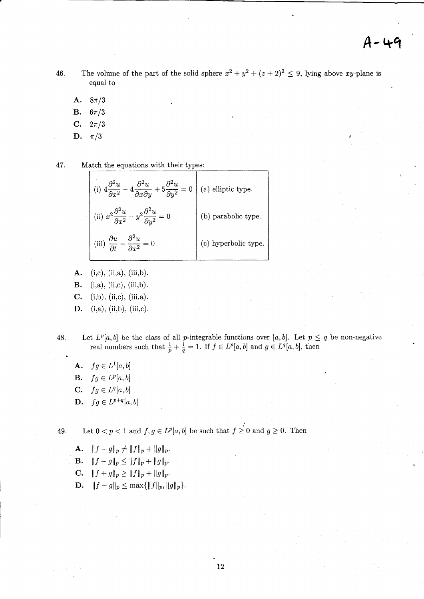- The volume of the part of the solid sphere  $x^2 + y^2 + (z+2)^2 \le 9$ , lying above xy-plane is 46. equal to
	- A.  $8\pi/3$
	- **B.**  $6\pi/3$
	- $C. \t 2\pi/3$
	- D.  $\pi/3$

47. Match the equations with their types:

| $+4\frac{\partial^2 u}{\partial x^2} -4\frac{\partial^2 u}{\partial x \partial y} +5\frac{\partial^2 u}{\partial y^2} = 0$ | (a) elliptic type.   |
|----------------------------------------------------------------------------------------------------------------------------|----------------------|
| (ii) $x^2 \frac{\partial^2 u}{\partial x^2} - y^2 \frac{\partial^2 u}{\partial y^2} = 0$                                   | (b) parabolic type.  |
| (iii) $\frac{\partial u}{\partial t} - \frac{\partial^2 u}{\partial x^2} = 0$                                              | (c) hyperbolic type. |

- A.  $(i,c), (ii,a), (iii,b).$ **B.**  $(i, a), (ii, c), (iii, b).$
- $C. (i,b), (ii,c), (iii,a).$

D.  $(i, a), (ii,b), (iii, c).$ 

Let  $L^p[a, b]$  be the class of all p-integrable functions over [a, b]. Let  $p \leq q$  be non-negative 48. real numbers such that  $\frac{1}{p} + \frac{1}{q} = 1$ . If  $f \in L^p[a, b]$  and  $g \in L^q[a, b]$ , then

**A.**  $fg \in L^1[a, b]$ **B.**  $fg \in L^p[a, b]$ C.  $fg \in L^q[a, b]$ **D.**  $fg \in L^{p+q}[a, b]$ 

49.

Let  $0 < p < 1$  and  $f, g \in L^p[a, b]$  be such that  $f \geq 0$  and  $g \geq 0$ . Then

**A.**  $||f+g||_p \neq ||f||_p + ||g||_p$ . **B.**  $||f - g||_p \le ||f||_p + ||g||_p$ .

**C.**  $||f+g||_p \ge ||f||_p + ||g||_p$ .

**D.**  $||f - g||_p \le \max{||f||_p, ||g||_p}.$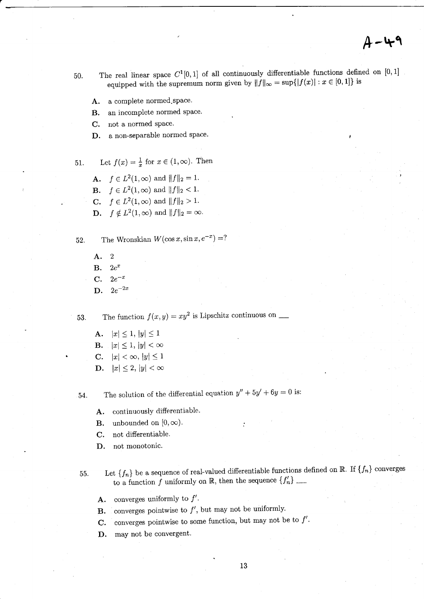## $A - 49$

- The real linear space  $C^1[0,1]$  of all continuously differentiable functions defined on [0, 1] 50. equipped with the supremum norm given by  $||f||_{\infty} = \sup\{|f(x)| : x \in [0,1]\}$  is
	- a complete normed space. A.
	- an incomplete normed space. **B.**
	- not a normed space.  $\mathbf{C}$ .
	- a non-separable normed space. D.

51. Let 
$$
f(x) = \frac{1}{x}
$$
 for  $x \in (1, \infty)$ . Then

**A.**  $f \in L^2(1,\infty)$  and  $||f||_2 = 1$ . **B.**  $f \in L^2(1,\infty)$  and  $||f||_2 < 1$ . **C.**  $f \in L^2(1,\infty)$  and  $||f||_2 > 1$ . **D.**  $f \notin L^2(1,\infty)$  and  $||f||_2 = \infty$ .

The Wronskian  $W(\cos x, \sin x, e^{-x}) = ?$ 52.

> A.  $\overline{2}$ **B.**  $2e^x$  $2e^{-x}$ C.  $2e^{-2x}$ D.

53.

**A.**  $|x| \leq 1, |y| \leq 1$ **B.**  $|x| \leq 1$ ,  $|y| < \infty$ C.  $|x| < \infty, |y| \leq 1$ **D.**  $|x| \leq 2$ ,  $|y| < \infty$ 

The solution of the differential equation  $y'' + 5y' + 6y = 0$  is: 54.

- continuously differentiable. A.
- unbounded on  $[0, \infty)$ . **B.**
- not differentiable. C.
- not monotonic. D.
- Let  $\{f_n\}$  be a sequence of real-valued differentiable functions defined on  $\mathbb{R}$ . If  $\{f_n\}$  converges 55.
	- converges uniformly to  $f'$ . А.
	- converges pointwise to  $f'$ , but may not be uniformly. **B.**
	- converges pointwise to some function, but may not be to  $f'$ . C.
	- D. may not be convergent.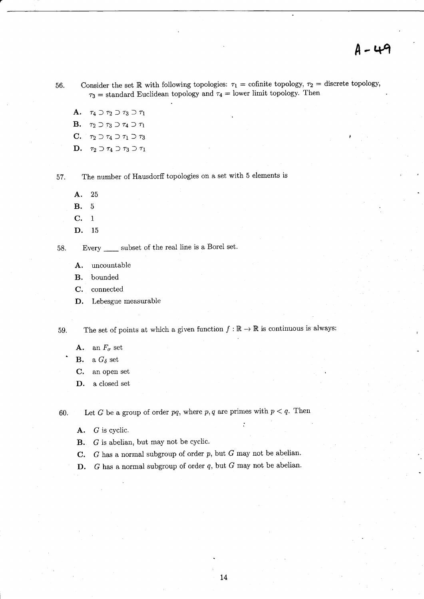56. Consider the set R with following topologies:  $\tau_1 =$  cofinite topology,  $\tau_2 =$  discrete topology,  $\tau_3$  = standard Euclidean topology and  $\tau_4$  = lower limit topology. Then

A.  $\tau_4 \supset \tau_2 \supset \tau_3 \supset \tau_1$ **B.**  $\tau_2 \supset \tau_3 \supset \tau_4 \supset \tau_1$ C.  $\tau_2 \supset \tau_4 \supset \tau_1 \supset \tau_3$ 

D.  $\tau_2 \supset \tau_4 \supset \tau_3 \supset \tau_1$ 

57. The number of Hausdorff topologies on a set with 5 elements is

A. <sup>25</sup>

**B.** 5

c. <sup>1</sup>

D. <sup>15</sup>

58. Every <u>each</u> subset of the real line is a Borel set.

A. uncountable

B. bounded

C. connected

D. Lebesgue measurable

59. The set of points at which a given function  $f : \mathbb{R} \to \mathbb{R}$  is continuous is always:

**A.** an  $F_{\sigma}$  set

**B.** a  $G_{\delta}$  set

C. an open set

D. a closed set

60. Let G be a group of order pq, where p, q are primes with  $p < q$ . Then

A. G is cyclic.

B. G is abelian, but may not be cyclic.

**C.** G has a normal subgroup of order p, but G may not be abelian.

D.  $G$  has a normal subgroup of order  $q$ , but  $G$  may not be abelian.

: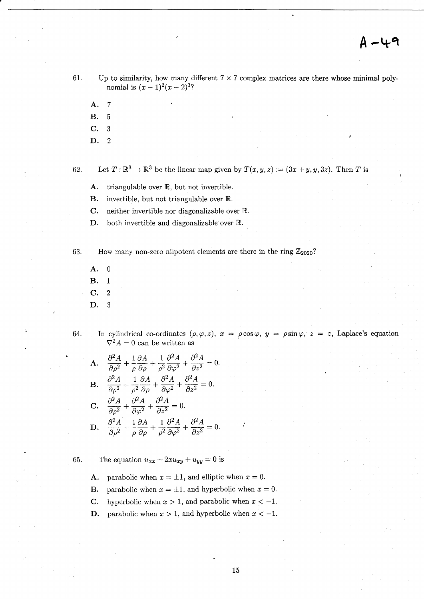- 61. Up to similarity, how many different  $7 \times 7$  complex matrices are there whose minimal polynomial is  $(x - 1)^2(x - 2)^3$ ?
	- A. 7
	- **B.** 5
	- C. 3
	- D. 2

62. Let  $T : \mathbb{R}^3 \to \mathbb{R}^3$  be the linear map given by  $T(x, y, z) := (3x + y, y, 3z)$ . Then T is

- A. triangulable over  $\mathbb{R}$ , but not invertible.
- **B.** invertible, but not triangulable over  $\mathbb{R}$ .
- $C.$  neither invertible nor diagonalizable over  $\mathbb R$ .
- $D.$  both invertible and diagonalizable over  $\mathbb{R}$ .

- 63. How many non-zero nilpotent elements are there in the ring  $\mathbb{Z}_{2020}$ ?
	- A. 0
	- B. <sup>1</sup>
	- $C.2$
	- D. 3
- 64. In cylindrical co-ordinates  $(\rho, \varphi, z)$ ,  $x = \rho \cos \varphi$ ,  $y = \rho \sin \varphi$ ,  $z = z$ , Laplace's equation  $\nabla^2 A = 0$  can be written as

**A.** 
$$
\frac{\partial^2 A}{\partial \rho^2} + \frac{1}{\rho} \frac{\partial A}{\partial \rho} + \frac{1}{\rho^2} \frac{\partial^2 A}{\partial \varphi^2} + \frac{\partial^2 A}{\partial z^2} = 0.
$$
  
\n**B.** 
$$
\frac{\partial^2 A}{\partial \rho^2} + \frac{1}{\rho^2} \frac{\partial A}{\partial \rho} + \frac{\partial^2 A}{\partial \varphi^2} + \frac{\partial^2 A}{\partial z^2} = 0.
$$
  
\n**C.** 
$$
\frac{\partial^2 A}{\partial \rho^2} + \frac{\partial^2 A}{\partial \varphi^2} + \frac{\partial^2 A}{\partial z^2} = 0.
$$
  
\n**D.** 
$$
\frac{\partial^2 A}{\partial \rho^2} - \frac{1}{\rho} \frac{\partial A}{\partial \rho} + \frac{1}{\rho^2} \frac{\partial^2 A}{\partial \varphi^2} + \frac{\partial^2 A}{\partial z^2} = 0.
$$

- 65. The equation  $u_{xx} + 2xu_{xy} + u_{yy} = 0$  is
	- **A.** parabolic when  $x = \pm 1$ , and elliptic when  $x = 0$ .
	- **B.** parabolic when  $x = \pm 1$ , and hyperbolic when  $x = 0$ .
	- **C.** hyperbolic when  $x > 1$ , and parabolic when  $x < -1$ .
	- **D.** parabolic when  $x > 1$ , and hyperbolic when  $x < -1$ .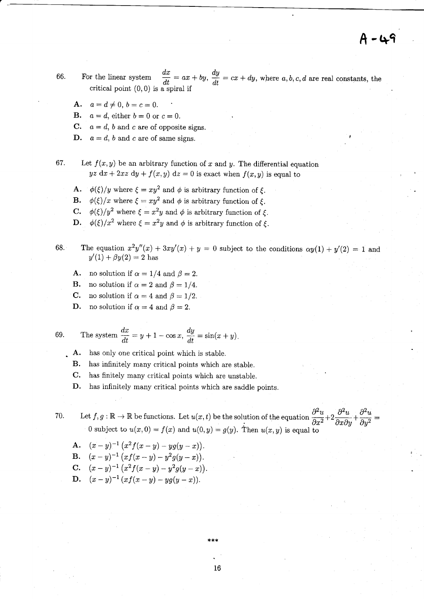$\dagger$  - 49

- For the linear system  $\frac{dx}{dt} = ax + by, \frac{dy}{dt} = cx + dy$ , where a, b, c, d are real constants, the 66. critical point  $(0,0)$  is a spiral if
	- **A.**  $a = d \neq 0, b = c = 0.$

**B.**  $a = d$ , either  $b = 0$  or  $c = 0$ .

- C.  $a = d$ , b and c are of opposite signs.
- **D.**  $a = d$ , b and c are of same signs.

67. Let  $f(x, y)$  be an arbitrary function of x and y. The differential equation  $yz dx + 2xz dy + f(x, y) dz = 0$  is exact when  $f(x, y)$  is equal to

- **A.**  $\phi(\xi)/y$  where  $\xi = xy^2$  and  $\phi$  is arbitrary function of  $\xi$ .
- **B.**  $\phi(\xi)/x$  where  $\xi = xy^2$  and  $\phi$  is arbitrary function of  $\xi$ .
- **C.**  $\phi(\xi)/y^2$  where  $\xi = x^2y$  and  $\phi$  is arbitrary function of  $\xi$ .
- **D.**  $\phi(\xi)/x^2$  where  $\xi = x^2y$  and  $\phi$  is arbitrary function of  $\xi$ .
- The equation  $x^2y''(x) + 3xy'(x) + y = 0$  subject to the conditions  $\alpha y(1) + y'(2) = 1$  and  $y'(1) + \beta y(2) = 2$  has 68.
	- **A.** no solution if  $\alpha = 1/4$  and  $\beta = 2$ .
	- **B.** no solution if  $\alpha = 2$  and  $\beta = 1/4$ .
	- **C.** no solution if  $\alpha = 4$  and  $\beta = 1/2$ .
	- no solution if  $\alpha = 4$  and  $\beta = 2$ . D.

69. The system 
$$
\frac{dx}{dt} = y + 1 - \cos x
$$
,  $\frac{dy}{dt} = \sin(x + y)$ .

- has only one critical point which is stable. A.
- **B.** has infinitely many critical points which are stable.
- $C_{\cdot}$ has finitely many critical points which are unstable.

has infinitely many critical points which are saddle points. D.

Let  $f, g : \mathbb{R} \to \mathbb{R}$  be functions. Let  $u(x, t)$  be the solution of the equation  $\frac{\partial^2 u}{\partial x^2} + 2 \frac{\partial^2 u}{\partial x \partial y} + \frac{\partial^2 u}{\partial y^2} =$ 70. 0 subject to  $u(x, 0) = f(x)$  and  $u(0, y) = g(y)$ . Then  $u(x, y)$  is equal to

**A.** 
$$
(x-y)^{-1} (x^2 f(x - y) - yg(y - x)).
$$
  
\n**B.**  $(x - y)^{-1} (xf(x - y) - y^2 g(y - x)).$   
\n**C.**  $(x - y)^{-1} (x^2 f(x - y) - y^2 g(y - x)).$ 

**D.** 
$$
(x-y)^{-1}(xf(x-y)-yg(y-x)).
$$

\*\*\*